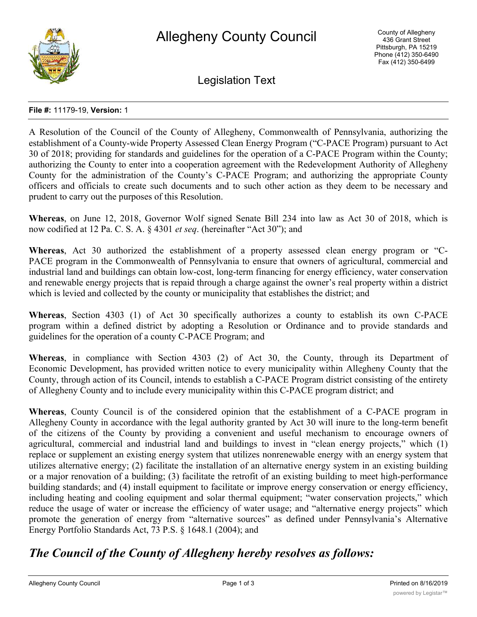

Legislation Text

#### **File #:** 11179-19, **Version:** 1

A Resolution of the Council of the County of Allegheny, Commonwealth of Pennsylvania, authorizing the establishment of a County-wide Property Assessed Clean Energy Program ("C-PACE Program) pursuant to Act 30 of 2018; providing for standards and guidelines for the operation of a C-PACE Program within the County; authorizing the County to enter into a cooperation agreement with the Redevelopment Authority of Allegheny County for the administration of the County's C-PACE Program; and authorizing the appropriate County officers and officials to create such documents and to such other action as they deem to be necessary and prudent to carry out the purposes of this Resolution.

**Whereas**, on June 12, 2018, Governor Wolf signed Senate Bill 234 into law as Act 30 of 2018, which is now codified at 12 Pa. C. S. A. § 4301 *et seq*. (hereinafter "Act 30"); and

**Whereas**, Act 30 authorized the establishment of a property assessed clean energy program or "C-PACE program in the Commonwealth of Pennsylvania to ensure that owners of agricultural, commercial and industrial land and buildings can obtain low-cost, long-term financing for energy efficiency, water conservation and renewable energy projects that is repaid through a charge against the owner's real property within a district which is levied and collected by the county or municipality that establishes the district; and

**Whereas**, Section 4303 (1) of Act 30 specifically authorizes a county to establish its own C-PACE program within a defined district by adopting a Resolution or Ordinance and to provide standards and guidelines for the operation of a county C-PACE Program; and

**Whereas**, in compliance with Section 4303 (2) of Act 30, the County, through its Department of Economic Development, has provided written notice to every municipality within Allegheny County that the County, through action of its Council, intends to establish a C-PACE Program district consisting of the entirety of Allegheny County and to include every municipality within this C-PACE program district; and

**Whereas**, County Council is of the considered opinion that the establishment of a C-PACE program in Allegheny County in accordance with the legal authority granted by Act 30 will inure to the long-term benefit of the citizens of the County by providing a convenient and useful mechanism to encourage owners of agricultural, commercial and industrial land and buildings to invest in "clean energy projects," which (1) replace or supplement an existing energy system that utilizes nonrenewable energy with an energy system that utilizes alternative energy; (2) facilitate the installation of an alternative energy system in an existing building or a major renovation of a building; (3) facilitate the retrofit of an existing building to meet high-performance building standards; and (4) install equipment to facilitate or improve energy conservation or energy efficiency, including heating and cooling equipment and solar thermal equipment; "water conservation projects," which reduce the usage of water or increase the efficiency of water usage; and "alternative energy projects" which promote the generation of energy from "alternative sources" as defined under Pennsylvania's Alternative Energy Portfolio Standards Act, 73 P.S. § 1648.1 (2004); and

# *The Council of the County of Allegheny hereby resolves as follows:*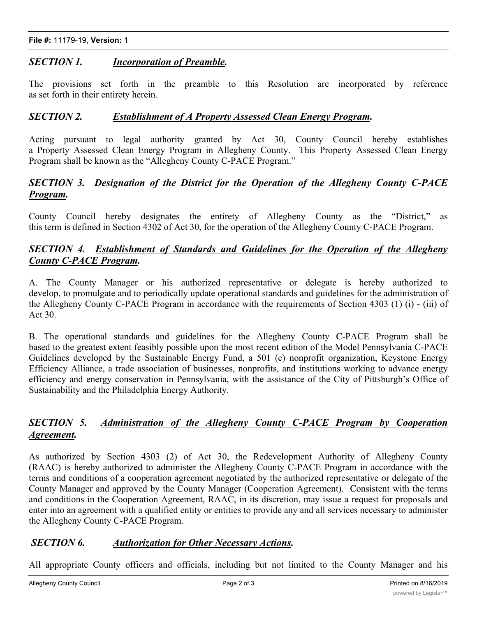## *SECTION 1. Incorporation of Preamble.*

The provisions set forth in the preamble to this Resolution are incorporated by reference as set forth in their entirety herein.

### *SECTION 2. Establishment of A Property Assessed Clean Energy Program.*

Acting pursuant to legal authority granted by Act 30, County Council hereby establishes a Property Assessed Clean Energy Program in Allegheny County. This Property Assessed Clean Energy Program shall be known as the "Allegheny County C-PACE Program."

## *SECTION 3. Designation of the District for the Operation of the Allegheny County C-PACE Program.*

County Council hereby designates the entirety of Allegheny County as the "District," as this term is defined in Section 4302 of Act 30, for the operation of the Allegheny County C-PACE Program.

## *SECTION 4. Establishment of Standards and Guidelines for the Operation of the Allegheny County C-PACE Program.*

A. The County Manager or his authorized representative or delegate is hereby authorized to develop, to promulgate and to periodically update operational standards and guidelines for the administration of the Allegheny County C-PACE Program in accordance with the requirements of Section 4303 (1) (i) - (iii) of Act 30.

B. The operational standards and guidelines for the Allegheny County C-PACE Program shall be based to the greatest extent feasibly possible upon the most recent edition of the Model Pennsylvania C-PACE Guidelines developed by the Sustainable Energy Fund, a 501 (c) nonprofit organization, Keystone Energy Efficiency Alliance, a trade association of businesses, nonprofits, and institutions working to advance energy efficiency and energy conservation in Pennsylvania, with the assistance of the City of Pittsburgh's Office of Sustainability and the Philadelphia Energy Authority.

## *SECTION 5. Administration of the Allegheny County C-PACE Program by Cooperation Agreement.*

As authorized by Section 4303 (2) of Act 30, the Redevelopment Authority of Allegheny County (RAAC) is hereby authorized to administer the Allegheny County C-PACE Program in accordance with the terms and conditions of a cooperation agreement negotiated by the authorized representative or delegate of the County Manager and approved by the County Manager (Cooperation Agreement). Consistent with the terms and conditions in the Cooperation Agreement, RAAC, in its discretion, may issue a request for proposals and enter into an agreement with a qualified entity or entities to provide any and all services necessary to administer the Allegheny County C-PACE Program.

## *SECTION 6. Authorization for Other Necessary Actions.*

All appropriate County officers and officials, including but not limited to the County Manager and his